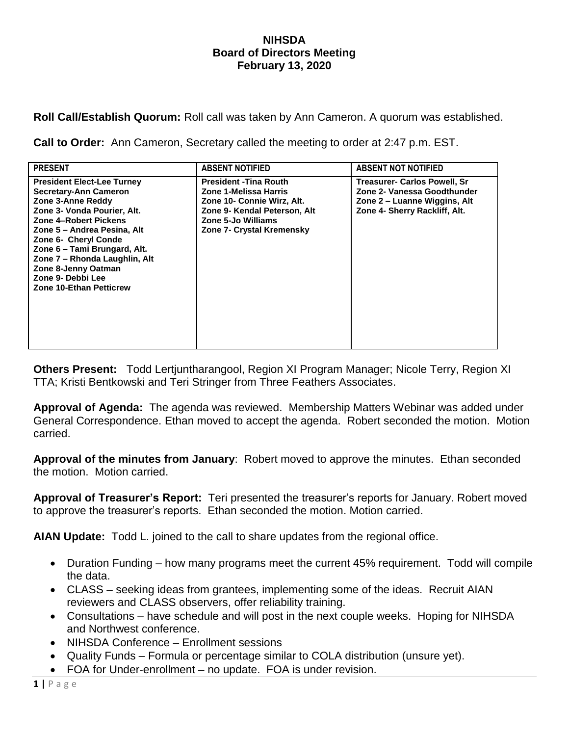## **NIHSDA Board of Directors Meeting February 13, 2020**

**Roll Call/Establish Quorum:** Roll call was taken by Ann Cameron. A quorum was established.

**Call to Order:** Ann Cameron, Secretary called the meeting to order at 2:47 p.m. EST.

| <b>PRESENT</b>                                                                                                                                                                                                                                                                                                                                       | <b>ABSENT NOTIFIED</b>                                                                                                                                                  | <b>ABSENT NOT NOTIFIED</b>                                                                                                          |
|------------------------------------------------------------------------------------------------------------------------------------------------------------------------------------------------------------------------------------------------------------------------------------------------------------------------------------------------------|-------------------------------------------------------------------------------------------------------------------------------------------------------------------------|-------------------------------------------------------------------------------------------------------------------------------------|
| <b>President Elect-Lee Turney</b><br><b>Secretary-Ann Cameron</b><br>Zone 3-Anne Reddy<br>Zone 3- Vonda Pourier, Alt.<br>Zone 4-Robert Pickens<br>Zone 5 - Andrea Pesina, Alt<br>Zone 6- Cheryl Conde<br>Zone 6 - Tami Brungard, Alt.<br>Zone 7 - Rhonda Laughlin, Alt<br>Zone 8-Jenny Oatman<br>Zone 9- Debbi Lee<br><b>Zone 10-Ethan Petticrew</b> | <b>President - Tina Routh</b><br>Zone 1-Melissa Harris<br>Zone 10- Connie Wirz, Alt.<br>Zone 9- Kendal Peterson, Alt<br>Zone 5-Jo Williams<br>Zone 7- Crystal Kremensky | <b>Treasurer- Carlos Powell, Sr</b><br>Zone 2- Vanessa Goodthunder<br>Zone 2 – Luanne Wiggins, Alt<br>Zone 4- Sherry Rackliff, Alt. |

**Others Present:** Todd Lertjuntharangool, Region XI Program Manager; Nicole Terry, Region XI TTA; Kristi Bentkowski and Teri Stringer from Three Feathers Associates.

**Approval of Agenda:** The agenda was reviewed. Membership Matters Webinar was added under General Correspondence. Ethan moved to accept the agenda. Robert seconded the motion. Motion carried.

**Approval of the minutes from January**: Robert moved to approve the minutes. Ethan seconded the motion. Motion carried.

**Approval of Treasurer's Report:** Teri presented the treasurer's reports for January. Robert moved to approve the treasurer's reports. Ethan seconded the motion. Motion carried.

**AIAN Update:** Todd L. joined to the call to share updates from the regional office.

- Duration Funding how many programs meet the current 45% requirement. Todd will compile the data.
- CLASS seeking ideas from grantees, implementing some of the ideas. Recruit AIAN reviewers and CLASS observers, offer reliability training.
- Consultations have schedule and will post in the next couple weeks. Hoping for NIHSDA and Northwest conference.
- NIHSDA Conference Enrollment sessions
- Quality Funds Formula or percentage similar to COLA distribution (unsure yet).
- FOA for Under-enrollment no update. FOA is under revision.